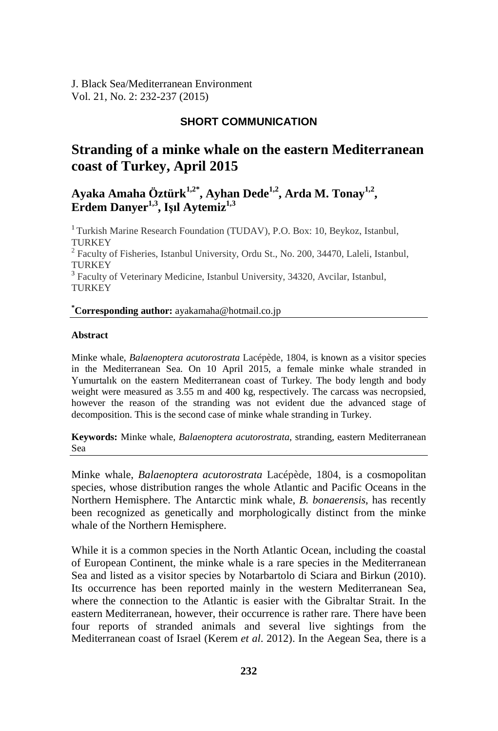J. Black Sea/Mediterranean Environment Vol. 21, No. 2: 232-237 (2015)

## **SHORT COMMUNICATION**

# **Stranding of a minke whale on the eastern Mediterranean coast of Turkey, April 2015**

# **Ayaka Amaha Öztürk1,2\* , Ayhan Dede1,2, Arda M. Tonay1,2 , Erdem Danyer1,3 , Işıl Aytemiz1,3**

<sup>1</sup> Turkish Marine Research Foundation (TUDAV), P.O. Box: 10, Beykoz, Istanbul, **TURKEY** 

<sup>2</sup> Faculty of Fisheries, Istanbul University, Ordu St., No. 200, 34470, Laleli, Istanbul, **TURKEY** 

<sup>3</sup> Faculty of Veterinary Medicine, Istanbul University, 34320, Avcilar, Istanbul, **TURKEY** 

### **\* Corresponding author:** ayakamaha@hotmail.co.jp

#### **Abstract**

Minke whale, *Balaenoptera acutorostrata* Lacépède, 1804, is known as a visitor species in the Mediterranean Sea. On 10 April 2015, a female minke whale stranded in Yumurtalık on the eastern Mediterranean coast of Turkey. The body length and body weight were measured as 3.55 m and 400 kg, respectively. The carcass was necropsied, however the reason of the stranding was not evident due the advanced stage of decomposition. This is the second case of minke whale stranding in Turkey.

**Keywords:** Minke whale, *Balaenoptera acutorostrata*, stranding, eastern Mediterranean Sea

Minke whale, *Balaenoptera acutorostrata* Lacépède, 1804, is a cosmopolitan species, whose distribution ranges the whole Atlantic and Pacific Oceans in the Northern Hemisphere. The Antarctic mink whale, *B. bonaerensis*, has recently been recognized as genetically and morphologically distinct from the minke whale of the Northern Hemisphere.

While it is a common species in the North Atlantic Ocean, including the coastal of European Continent, the minke whale is a rare species in the Mediterranean Sea and listed as a visitor species by Notarbartolo di Sciara and Birkun (2010). Its occurrence has been reported mainly in the western Mediterranean Sea, where the connection to the Atlantic is easier with the Gibraltar Strait. In the eastern Mediterranean, however, their occurrence is rather rare. There have been four reports of stranded animals and several live sightings from the Mediterranean coast of Israel (Kerem *et al*. 2012). In the Aegean Sea, there is a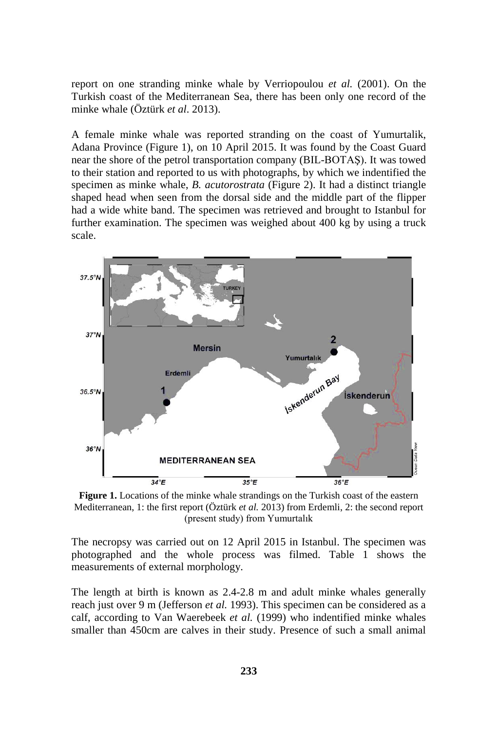report on one stranding minke whale by Verriopoulou *et al.* (2001). On the Turkish coast of the Mediterranean Sea, there has been only one record of the minke whale (Öztürk *et al*. 2013).

A female minke whale was reported stranding on the coast of Yumurtalik, Adana Province (Figure 1), on 10 April 2015. It was found by the Coast Guard near the shore of the petrol transportation company (BIL-BOTAŞ). It was towed to their station and reported to us with photographs, by which we indentified the specimen as minke whale, *B. acutorostrata* (Figure 2). It had a distinct triangle shaped head when seen from the dorsal side and the middle part of the flipper had a wide white band. The specimen was retrieved and brought to Istanbul for further examination. The specimen was weighed about 400 kg by using a truck scale.



Figure 1. Locations of the minke whale strandings on the Turkish coast of the eastern Mediterranean, 1: the first report (Öztürk *et al.* 2013) from Erdemli, 2: the second report (present study) from Yumurtalık

The necropsy was carried out on 12 April 2015 in Istanbul. The specimen was photographed and the whole process was filmed. Table 1 shows the measurements of external morphology.

The length at birth is known as 2.4-2.8 m and adult minke whales generally reach just over 9 m (Jefferson *et al.* 1993). This specimen can be considered as a calf, according to Van Waerebeek *et al.* (1999) who indentified minke whales smaller than 450cm are calves in their study. Presence of such a small animal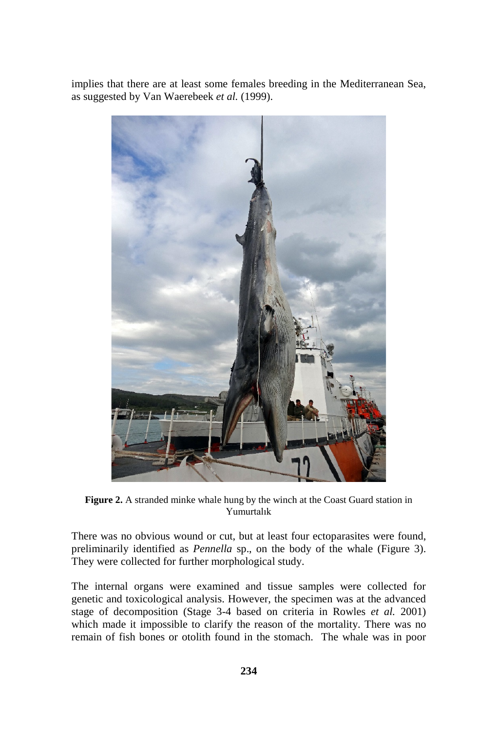implies that there are at least some females breeding in the Mediterranean Sea, as suggested by Van Waerebeek *et al.* (1999).



Figure 2. A stranded minke whale hung by the winch at the Coast Guard station in Yumurtalık

There was no obvious wound or cut, but at least four ectoparasites were found, preliminarily identified as *Pennella* sp., on the body of the whale (Figure 3). They were collected for further morphological study.

The internal organs were examined and tissue samples were collected for genetic and toxicological analysis. However, the specimen was at the advanced stage of decomposition (Stage 3-4 based on criteria in Rowles *et al.* 2001) which made it impossible to clarify the reason of the mortality. There was no remain of fish bones or otolith found in the stomach. The whale was in poor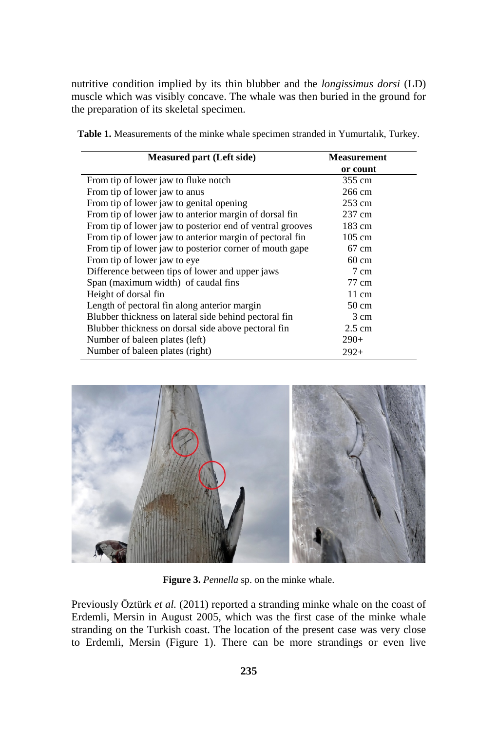nutritive condition implied by its thin blubber and the *longissimus dorsi* (LD) muscle which was visibly concave. The whale was then buried in the ground for the preparation of its skeletal specimen.

| <b>Measured part (Left side)</b>                          | Measurement      |
|-----------------------------------------------------------|------------------|
|                                                           | or count         |
| From tip of lower jaw to fluke notch                      | 355 cm           |
| From tip of lower jaw to anus                             | 266 cm           |
| From tip of lower jaw to genital opening                  | 253 cm           |
| From tip of lower jaw to anterior margin of dorsal fin    | 237 cm           |
| From tip of lower jaw to posterior end of ventral grooves | 183 cm           |
| From tip of lower jaw to anterior margin of pectoral fin  | $105 \text{ cm}$ |
| From tip of lower jaw to posterior corner of mouth gape   | $67 \text{ cm}$  |
| From tip of lower jaw to eye                              | $60 \text{ cm}$  |
| Difference between tips of lower and upper jaws           | 7 cm             |
| Span (maximum width) of caudal fins                       | 77 cm            |
| Height of dorsal fin                                      | $11 \text{ cm}$  |
| Length of pectoral fin along anterior margin              | $50 \text{ cm}$  |
| Blubber thickness on lateral side behind pectoral fin     | 3 cm             |
| Blubber thickness on dorsal side above pectoral fin       | $2.5 \text{ cm}$ |
| Number of baleen plates (left)                            | $290+$           |
| Number of baleen plates (right)                           | $292+$           |

**Table 1.** Measurements of the minke whale specimen stranded in Yumurtalık, Turkey.



**Figure 3.** *Pennella* sp. on the minke whale.

Previously Öztürk *et al.* (2011) reported a stranding minke whale on the coast of Erdemli, Mersin in August 2005, which was the first case of the minke whale stranding on the Turkish coast. The location of the present case was very close to Erdemli, Mersin (Figure 1). There can be more strandings or even live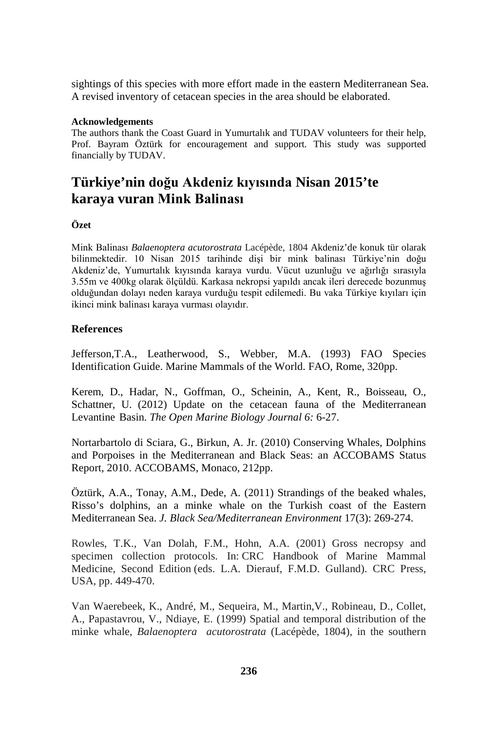sightings of this species with more effort made in the eastern Mediterranean Sea. A revised inventory of cetacean species in the area should be elaborated.

#### **Acknowledgements**

The authors thank the Coast Guard in Yumurtalık and TUDAV volunteers for their help, Prof. Bayram Öztürk for encouragement and support. This study was supported financially by TUDAV.

# **Türkiye'nin doğu Akdeniz kıyısında Nisan 2015'te karaya vuran Mink Balinası**

### **Özet**

Mink Balinası *Balaenoptera acutorostrata* Lacépède, 1804 Akdeniz'de konuk tür olarak bilinmektedir. 10 Nisan 2015 tarihinde dişi bir mink balinası Türkiye'nin doğu Akdeniz'de, Yumurtalık kıyısında karaya vurdu. Vücut uzunluğu ve ağırlığı sırasıyla 3.55m ve 400kg olarak ölçüldü. Karkasa nekropsi yapıldı ancak ileri derecede bozunmuş olduğundan dolayı neden karaya vurduğu tespit edilemedi. Bu vaka Türkiye kıyıları için ikinci mink balinası karaya vurması olayıdır.

### **References**

Jefferson,T.A., Leatherwood, S., Webber, M.A. (1993) FAO Species Identification Guide. Marine Mammals of the World. FAO, Rome, 320pp.

Kerem, D., Hadar, N., Goffman, O., Scheinin, A., Kent, R., Boisseau, O., Schattner, U. (2012) Update on the cetacean fauna of the Mediterranean Levantine Basin. *The Open Marine Biology Journal 6:* 6-27.

Nortarbartolo di Sciara, G., Birkun, A. Jr. (2010) Conserving Whales, Dolphins and Porpoises in the Mediterranean and Black Seas: an ACCOBAMS Status Report, 2010. ACCOBAMS, Monaco, 212pp.

Öztürk, A.A., Tonay, A.M., Dede, A. (2011) Strandings of the beaked whales, Risso's dolphins, an a minke whale on the Turkish coast of the Eastern Mediterranean Sea. *J. Black Sea/Mediterranean Environment* 17(3): 269-274.

Rowles, T.K., Van Dolah, F.M., Hohn, A.A. (2001) Gross necropsy and specimen collection protocols. In: CRC Handbook of Marine Mammal Medicine, Second Edition (eds. L.A. Dierauf, F.M.D. Gulland). CRC Press, USA, pp. 449-470.

Van Waerebeek, K., André, M., Sequeira, M., Martin,V., Robineau, D., Collet, A., Papastavrou, V., Ndiaye, E. (1999) Spatial and temporal distribution of the minke whale, *Balaenoptera acutorostrata* (Lacépède, 1804), in the southern